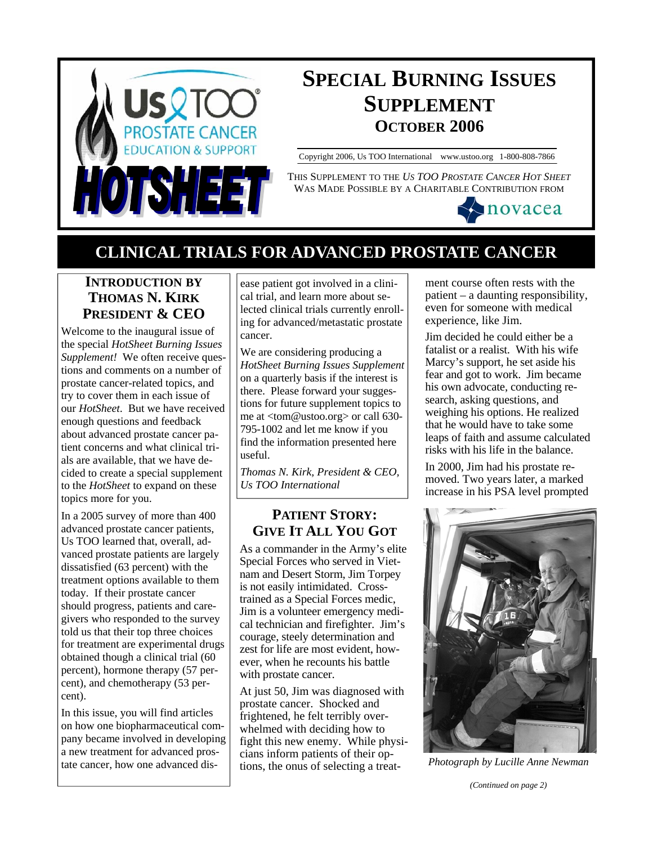

# **SPECIAL BURNING ISSUES SUPPLEMENT OCTOBER 2006**

Copyright 2006, Us TOO International www.ustoo.org 1-800-808-7866

THIS SUPPLEMENT TO THE *US TOO PROSTATE CANCER HOT SHEET* WAS MADE POSSIBLE BY A CHARITABLE CONTRIBUTION FROM



## **CLINICAL TRIALS FOR ADVANCED PROSTATE CANCER**

## **INTRODUCTION BY THOMAS N. KIRK PRESIDENT & CEO**

Welcome to the inaugural issue of the special *HotSheet Burning Issues Supplement!* We often receive questions and comments on a number of prostate cancer-related topics, and try to cover them in each issue of our *HotSheet*. But we have received enough questions and feedback about advanced prostate cancer patient concerns and what clinical trials are available, that we have decided to create a special supplement to the *HotSheet* to expand on these topics more for you.

In a 2005 survey of more than 400 advanced prostate cancer patients, Us TOO learned that, overall, advanced prostate patients are largely dissatisfied (63 percent) with the treatment options available to them today. If their prostate cancer should progress, patients and caregivers who responded to the survey told us that their top three choices for treatment are experimental drugs obtained though a clinical trial (60 percent), hormone therapy (57 percent), and chemotherapy (53 percent).

In this issue, you will find articles on how one biopharmaceutical company became involved in developing a new treatment for advanced prostate cancer, how one advanced disease patient got involved in a clinical trial, and learn more about selected clinical trials currently enrolling for advanced/metastatic prostate cancer.

We are considering producing a *HotSheet Burning Issues Supplement*  on a quarterly basis if the interest is there. Please forward your suggestions for future supplement topics to me at <tom@ustoo.org> or call 630- 795-1002 and let me know if you find the information presented here useful.

*Thomas N. Kirk, President & CEO, Us TOO International* 

## **PATIENT STORY: GIVE IT ALL YOU GOT**

As a commander in the Army's elite Special Forces who served in Vietnam and Desert Storm, Jim Torpey is not easily intimidated. Crosstrained as a Special Forces medic, Jim is a volunteer emergency medical technician and firefighter. Jim's courage, steely determination and zest for life are most evident, however, when he recounts his battle with prostate cancer.

At just 50, Jim was diagnosed with prostate cancer. Shocked and frightened, he felt terribly overwhelmed with deciding how to fight this new enemy. While physicians inform patients of their options, the onus of selecting a treat-

ment course often rests with the patient – a daunting responsibility, even for someone with medical experience, like Jim.

Jim decided he could either be a fatalist or a realist. With his wife Marcy's support, he set aside his fear and got to work. Jim became his own advocate, conducting research, asking questions, and weighing his options. He realized that he would have to take some leaps of faith and assume calculated risks with his life in the balance.

In 2000, Jim had his prostate removed. Two years later, a marked increase in his PSA level prompted



*Photograph by Lucille Anne Newman* 

*(Continued on page 2)*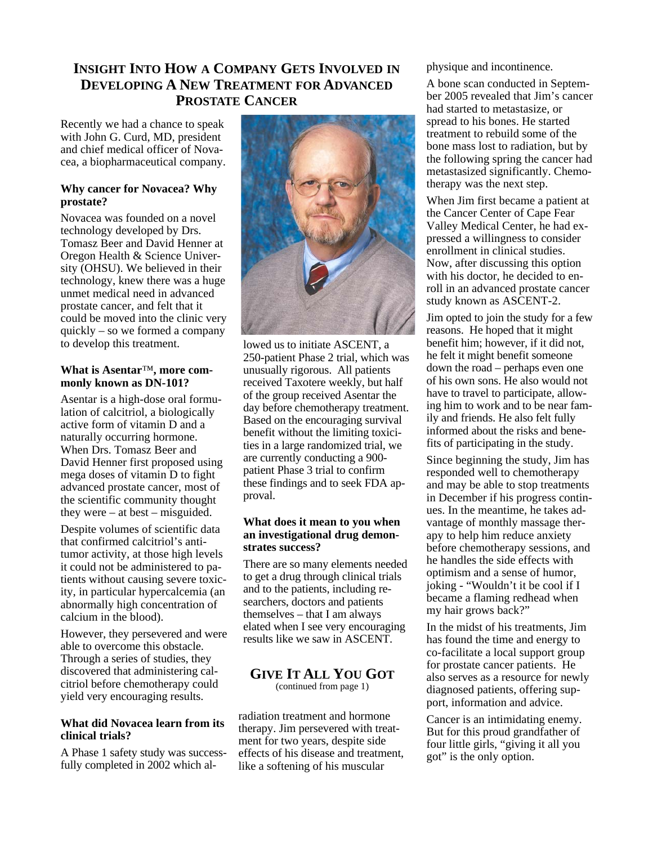### **INSIGHT INTO HOW A COMPANY GETS INVOLVED IN DEVELOPING A NEW TREATMENT FOR ADVANCED PROSTATE CANCER**

Recently we had a chance to speak with John G. Curd, MD, president and chief medical officer of Novacea, a biopharmaceutical company.

#### **Why cancer for Novacea? Why prostate?**

Novacea was founded on a novel technology developed by Drs. Tomasz Beer and David Henner at Oregon Health & Science University (OHSU). We believed in their technology, knew there was a huge unmet medical need in advanced prostate cancer, and felt that it could be moved into the clinic very quickly – so we formed a company to develop this treatment.

#### **What is Asentar**™**, more commonly known as DN-101?**

Asentar is a high-dose oral formulation of calcitriol, a biologically active form of vitamin D and a naturally occurring hormone. When Drs. Tomasz Beer and David Henner first proposed using mega doses of vitamin D to fight advanced prostate cancer, most of the scientific community thought they were – at best – misguided.

Despite volumes of scientific data that confirmed calcitriol's antitumor activity, at those high levels it could not be administered to patients without causing severe toxicity, in particular hypercalcemia (an abnormally high concentration of calcium in the blood).

However, they persevered and were able to overcome this obstacle. Through a series of studies, they discovered that administering calcitriol before chemotherapy could yield very encouraging results.

#### **What did Novacea learn from its clinical trials?**

A Phase 1 safety study was successfully completed in 2002 which al-



lowed us to initiate ASCENT, a 250-patient Phase 2 trial, which was unusually rigorous. All patients received Taxotere weekly, but half of the group received Asentar the day before chemotherapy treatment. Based on the encouraging survival benefit without the limiting toxicities in a large randomized trial, we are currently conducting a 900 patient Phase 3 trial to confirm these findings and to seek FDA approval.

#### **What does it mean to you when an investigational drug demonstrates success?**

There are so many elements needed to get a drug through clinical trials and to the patients, including researchers, doctors and patients themselves – that I am always elated when I see very encouraging results like we saw in ASCENT.

#### **GIVE IT ALL YOU GOT** (continued from page 1)

radiation treatment and hormone therapy. Jim persevered with treatment for two years, despite side effects of his disease and treatment, like a softening of his muscular

physique and incontinence.

A bone scan conducted in September 2005 revealed that Jim's cancer had started to metastasize, or spread to his bones. He started treatment to rebuild some of the bone mass lost to radiation, but by the following spring the cancer had metastasized significantly. Chemotherapy was the next step.

When Jim first became a patient at the Cancer Center of Cape Fear Valley Medical Center, he had expressed a willingness to consider enrollment in clinical studies. Now, after discussing this option with his doctor, he decided to enroll in an advanced prostate cancer study known as ASCENT-2.

Jim opted to join the study for a few reasons. He hoped that it might benefit him; however, if it did not, he felt it might benefit someone down the road – perhaps even one of his own sons. He also would not have to travel to participate, allowing him to work and to be near family and friends. He also felt fully informed about the risks and benefits of participating in the study.

Since beginning the study, Jim has responded well to chemotherapy and may be able to stop treatments in December if his progress continues. In the meantime, he takes advantage of monthly massage therapy to help him reduce anxiety before chemotherapy sessions, and he handles the side effects with optimism and a sense of humor, joking - "Wouldn't it be cool if I became a flaming redhead when my hair grows back?"

In the midst of his treatments, Jim has found the time and energy to co-facilitate a local support group for prostate cancer patients. He also serves as a resource for newly diagnosed patients, offering support, information and advice.

Cancer is an intimidating enemy. But for this proud grandfather of four little girls, "giving it all you got" is the only option.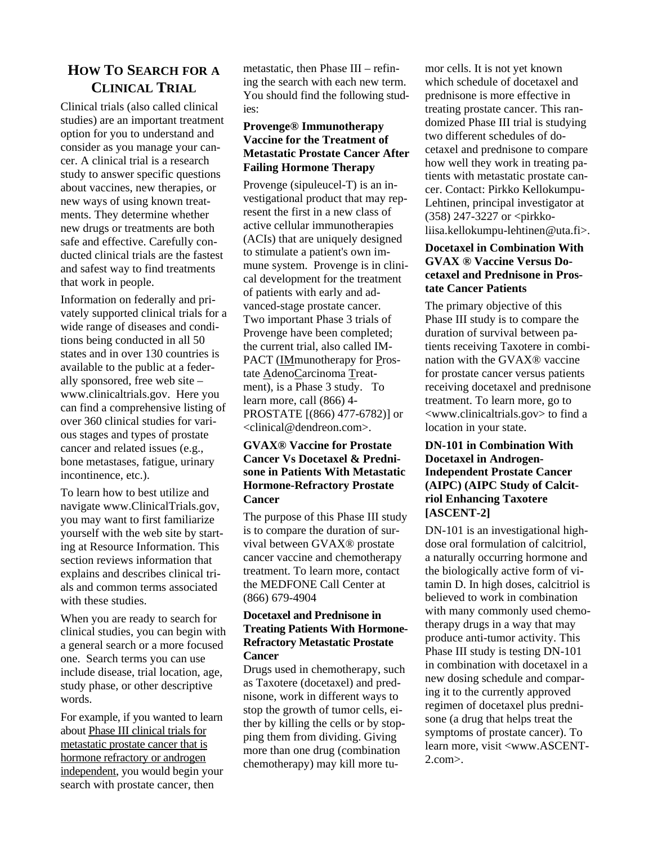## **HOW TO SEARCH FOR A CLINICAL TRIAL**

Clinical trials (also called clinical studies) are an important treatment option for you to understand and consider as you manage your cancer. A clinical trial is a research study to answer specific questions about vaccines, new therapies, or new ways of using known treatments. They determine whether new drugs or treatments are both safe and effective. Carefully conducted clinical trials are the fastest and safest way to find treatments that work in people.

Information on federally and privately supported clinical trials for a wide range of diseases and conditions being conducted in all 50 states and in over 130 countries is available to the public at a federally sponsored, free web site – www.clinicaltrials.gov. Here you can find a comprehensive listing of over 360 clinical studies for various stages and types of prostate cancer and related issues (e.g., bone metastases, fatigue, urinary incontinence, etc.).

To learn how to best utilize and navigate www.ClinicalTrials.gov, you may want to first familiarize yourself with the web site by starting at Resource Information. This section reviews information that explains and describes clinical trials and common terms associated with these studies.

When you are ready to search for clinical studies, you can begin with a general search or a more focused one. Search terms you can use include disease, trial location, age, study phase, or other descriptive words.

For example, if you wanted to learn about Phase III clinical trials for metastatic prostate cancer that is hormone refractory or androgen independent, you would begin your search with prostate cancer, then

metastatic, then Phase III – refining the search with each new term. You should find the following studies:

#### **Provenge® Immunotherapy Vaccine for the Treatment of Metastatic Prostate Cancer After Failing Hormone Therapy**

Provenge (sipuleucel-T) is an investigational product that may represent the first in a new class of active cellular immunotherapies (ACIs) that are uniquely designed to stimulate a patient's own immune system. Provenge is in clinical development for the treatment of patients with early and advanced-stage prostate cancer. Two important Phase 3 trials of Provenge have been completed; the current trial, also called IM-PACT (IMmunotherapy for Prostate AdenoCarcinoma Treatment), is a Phase 3 study. To learn more, call (866) 4- PROSTATE [(866) 477-6782)] or <clinical@dendreon.com>.

#### **GVAX® Vaccine for Prostate Cancer Vs Docetaxel & Prednisone in Patients With Metastatic Hormone-Refractory Prostate Cancer**

The purpose of this Phase III study is to compare the duration of survival between GVAX® prostate cancer vaccine and chemotherapy treatment. To learn more, contact the MEDFONE Call Center at (866) 679-4904

#### **Docetaxel and Prednisone in Treating Patients With Hormone-Refractory Metastatic Prostate Cancer**

Drugs used in chemotherapy, such as Taxotere (docetaxel) and prednisone, work in different ways to stop the growth of tumor cells, either by killing the cells or by stopping them from dividing. Giving more than one drug (combination chemotherapy) may kill more tu-

mor cells. It is not yet known which schedule of docetaxel and prednisone is more effective in treating prostate cancer. This randomized Phase III trial is studying two different schedules of docetaxel and prednisone to compare how well they work in treating patients with metastatic prostate cancer. Contact: Pirkko Kellokumpu-Lehtinen, principal investigator at (358) 247-3227 or <pirkkoliisa.kellokumpu-lehtinen@uta.fi>.

#### **Docetaxel in Combination With GVAX ® Vaccine Versus Docetaxel and Prednisone in Prostate Cancer Patients**

The primary objective of this Phase III study is to compare the duration of survival between patients receiving Taxotere in combination with the GVAX® vaccine for prostate cancer versus patients receiving docetaxel and prednisone treatment. To learn more, go to <www.clinicaltrials.gov> to find a location in your state.

#### **DN-101 in Combination With Docetaxel in Androgen-Independent Prostate Cancer (AIPC) (AIPC Study of Calcitriol Enhancing Taxotere [ASCENT-2]**

DN-101 is an investigational highdose oral formulation of calcitriol, a naturally occurring hormone and the biologically active form of vitamin D. In high doses, calcitriol is believed to work in combination with many commonly used chemotherapy drugs in a way that may produce anti-tumor activity. This Phase III study is testing DN-101 in combination with docetaxel in a new dosing schedule and comparing it to the currently approved regimen of docetaxel plus prednisone (a drug that helps treat the symptoms of prostate cancer). To learn more, visit <www.ASCENT-2.com>.